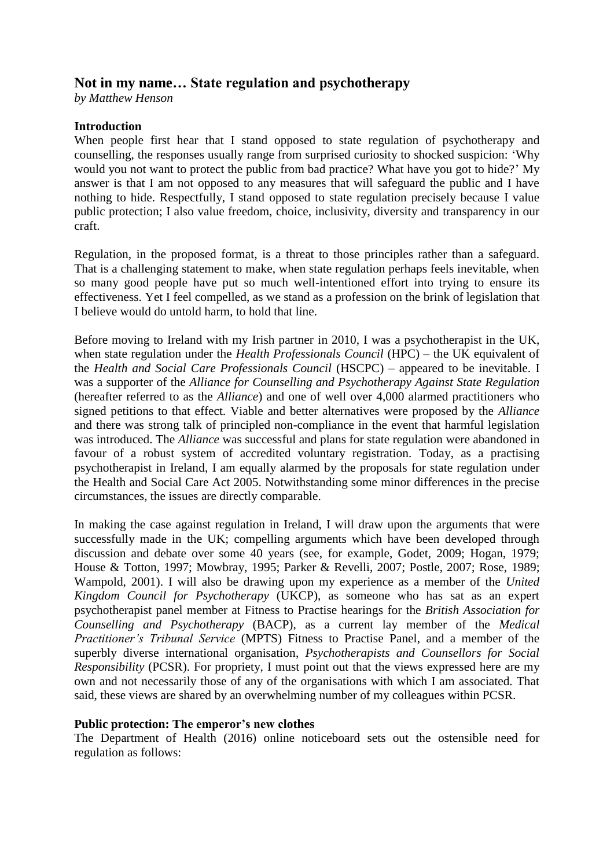# **Not in my name… State regulation and psychotherapy**

*by Matthew Henson*

## **Introduction**

When people first hear that I stand opposed to state regulation of psychotherapy and counselling, the responses usually range from surprised curiosity to shocked suspicion: 'Why would you not want to protect the public from bad practice? What have you got to hide?' My answer is that I am not opposed to any measures that will safeguard the public and I have nothing to hide. Respectfully, I stand opposed to state regulation precisely because I value public protection; I also value freedom, choice, inclusivity, diversity and transparency in our craft.

Regulation, in the proposed format, is a threat to those principles rather than a safeguard. That is a challenging statement to make, when state regulation perhaps feels inevitable, when so many good people have put so much well-intentioned effort into trying to ensure its effectiveness. Yet I feel compelled, as we stand as a profession on the brink of legislation that I believe would do untold harm, to hold that line.

Before moving to Ireland with my Irish partner in 2010, I was a psychotherapist in the UK, when state regulation under the *Health Professionals Council* (HPC) – the UK equivalent of the *Health and Social Care Professionals Council* (HSCPC) – appeared to be inevitable. I was a supporter of the *Alliance for Counselling and Psychotherapy Against State Regulation* (hereafter referred to as the *Alliance*) and one of well over 4,000 alarmed practitioners who signed petitions to that effect. Viable and better alternatives were proposed by the *Alliance* and there was strong talk of principled non-compliance in the event that harmful legislation was introduced. The *Alliance* was successful and plans for state regulation were abandoned in favour of a robust system of accredited voluntary registration. Today, as a practising psychotherapist in Ireland, I am equally alarmed by the proposals for state regulation under the Health and Social Care Act 2005. Notwithstanding some minor differences in the precise circumstances, the issues are directly comparable.

In making the case against regulation in Ireland, I will draw upon the arguments that were successfully made in the UK; compelling arguments which have been developed through discussion and debate over some 40 years (see, for example, Godet, 2009; Hogan, 1979; House & Totton, 1997; Mowbray, 1995; Parker & Revelli, 2007; Postle, 2007; Rose, 1989; Wampold, 2001). I will also be drawing upon my experience as a member of the *United Kingdom Council for Psychotherapy* (UKCP), as someone who has sat as an expert psychotherapist panel member at Fitness to Practise hearings for the *British Association for Counselling and Psychotherapy* (BACP), as a current lay member of the *Medical Practitioner's Tribunal Service* (MPTS) Fitness to Practise Panel, and a member of the superbly diverse international organisation, *Psychotherapists and Counsellors for Social Responsibility* (PCSR). For propriety, I must point out that the views expressed here are my own and not necessarily those of any of the organisations with which I am associated. That said, these views are shared by an overwhelming number of my colleagues within PCSR.

#### **Public protection: The emperor's new clothes**

The Department of Health (2016) online noticeboard sets out the ostensible need for regulation as follows: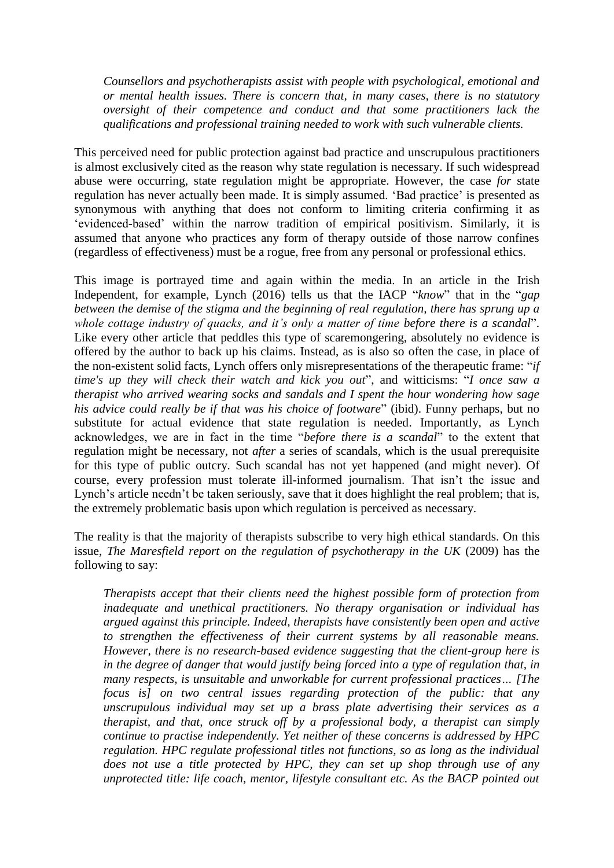*Counsellors and psychotherapists assist with people with psychological, emotional and or mental health issues. There is concern that, in many cases, there is no statutory oversight of their competence and conduct and that some practitioners lack the qualifications and professional training needed to work with such vulnerable clients.*

This perceived need for public protection against bad practice and unscrupulous practitioners is almost exclusively cited as the reason why state regulation is necessary. If such widespread abuse were occurring, state regulation might be appropriate. However, the case *for* state regulation has never actually been made. It is simply assumed. 'Bad practice' is presented as synonymous with anything that does not conform to limiting criteria confirming it as 'evidenced-based' within the narrow tradition of empirical positivism. Similarly, it is assumed that anyone who practices any form of therapy outside of those narrow confines (regardless of effectiveness) must be a rogue, free from any personal or professional ethics.

This image is portrayed time and again within the media. In an article in the Irish Independent, for example, Lynch (2016) tells us that the IACP "*know*" that in the "*gap between the demise of the stigma and the beginning of real regulation, there has sprung up a whole cottage industry of quacks, and it's only a matter of time before there is a scandal*". Like every other article that peddles this type of scaremongering, absolutely no evidence is offered by the author to back up his claims. Instead, as is also so often the case, in place of the non-existent solid facts, Lynch offers only misrepresentations of the therapeutic frame: "*if time's up they will check their watch and kick you out*", and witticisms: "*I once saw a therapist who arrived wearing socks and sandals and I spent the hour wondering how sage his advice could really be if that was his choice of footware*" (ibid). Funny perhaps, but no substitute for actual evidence that state regulation is needed. Importantly, as Lynch acknowledges, we are in fact in the time "*before there is a scandal*" to the extent that regulation might be necessary, not *after* a series of scandals, which is the usual prerequisite for this type of public outcry. Such scandal has not yet happened (and might never). Of course, every profession must tolerate ill-informed journalism. That isn't the issue and Lynch's article needn't be taken seriously, save that it does highlight the real problem; that is, the extremely problematic basis upon which regulation is perceived as necessary.

The reality is that the majority of therapists subscribe to very high ethical standards. On this issue, *The Maresfield report on the regulation of psychotherapy in the UK* (2009) has the following to say:

*Therapists accept that their clients need the highest possible form of protection from inadequate and unethical practitioners. No therapy organisation or individual has argued against this principle. Indeed, therapists have consistently been open and active to strengthen the effectiveness of their current systems by all reasonable means. However, there is no research-based evidence suggesting that the client-group here is in the degree of danger that would justify being forced into a type of regulation that, in many respects, is unsuitable and unworkable for current professional practices… [The focus is] on two central issues regarding protection of the public: that any unscrupulous individual may set up a brass plate advertising their services as a therapist, and that, once struck off by a professional body, a therapist can simply continue to practise independently. Yet neither of these concerns is addressed by HPC regulation. HPC regulate professional titles not functions, so as long as the individual does not use a title protected by HPC, they can set up shop through use of any unprotected title: life coach, mentor, lifestyle consultant etc. As the BACP pointed out*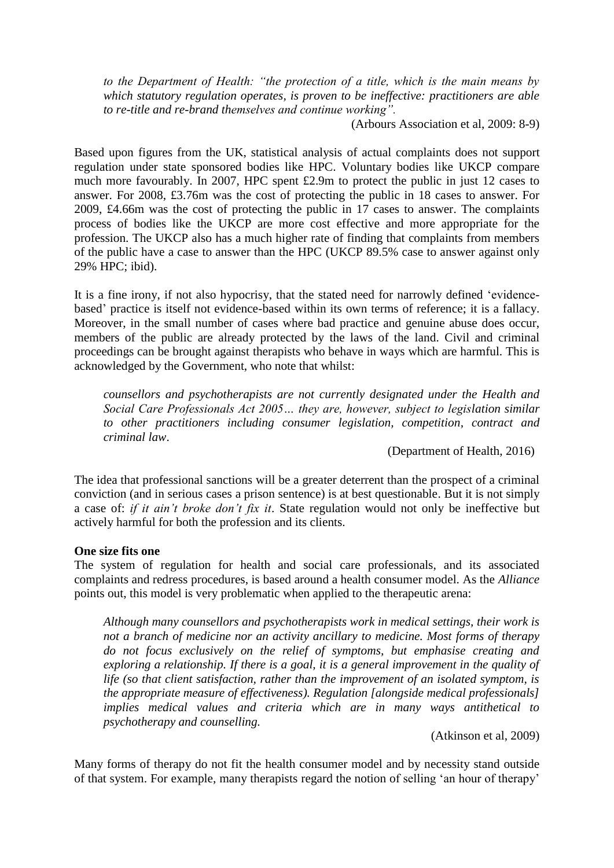*to the Department of Health: "the protection of a title, which is the main means by which statutory regulation operates, is proven to be ineffective: practitioners are able to re-title and re-brand themselves and continue working".*

(Arbours Association et al, 2009: 8-9)

Based upon figures from the UK, statistical analysis of actual complaints does not support regulation under state sponsored bodies like HPC. Voluntary bodies like UKCP compare much more favourably. In 2007, HPC spent £2.9m to protect the public in just 12 cases to answer. For 2008, £3.76m was the cost of protecting the public in 18 cases to answer. For 2009, £4.66m was the cost of protecting the public in 17 cases to answer. The complaints process of bodies like the UKCP are more cost effective and more appropriate for the profession. The UKCP also has a much higher rate of finding that complaints from members of the public have a case to answer than the HPC (UKCP 89.5% case to answer against only 29% HPC; ibid).

It is a fine irony, if not also hypocrisy, that the stated need for narrowly defined 'evidencebased' practice is itself not evidence-based within its own terms of reference; it is a fallacy. Moreover, in the small number of cases where bad practice and genuine abuse does occur, members of the public are already protected by the laws of the land. Civil and criminal proceedings can be brought against therapists who behave in ways which are harmful. This is acknowledged by the Government, who note that whilst:

*counsellors and psychotherapists are not currently designated under the Health and Social Care Professionals Act 2005… they are, however, subject to legislation similar to other practitioners including consumer legislation, competition, contract and criminal law*.

(Department of Health, 2016)

The idea that professional sanctions will be a greater deterrent than the prospect of a criminal conviction (and in serious cases a prison sentence) is at best questionable. But it is not simply a case of: *if it ain't broke don't fix it*. State regulation would not only be ineffective but actively harmful for both the profession and its clients.

#### **One size fits one**

The system of regulation for health and social care professionals, and its associated complaints and redress procedures, is based around a health consumer model. As the *Alliance* points out, this model is very problematic when applied to the therapeutic arena:

*Although many counsellors and psychotherapists work in medical settings, their work is not a branch of medicine nor an activity ancillary to medicine. Most forms of therapy do not focus exclusively on the relief of symptoms, but emphasise creating and exploring a relationship. If there is a goal, it is a general improvement in the quality of life (so that client satisfaction, rather than the improvement of an isolated symptom, is the appropriate measure of effectiveness). Regulation [alongside medical professionals] implies medical values and criteria which are in many ways antithetical to psychotherapy and counselling.*

(Atkinson et al, 2009)

Many forms of therapy do not fit the health consumer model and by necessity stand outside of that system. For example, many therapists regard the notion of selling 'an hour of therapy'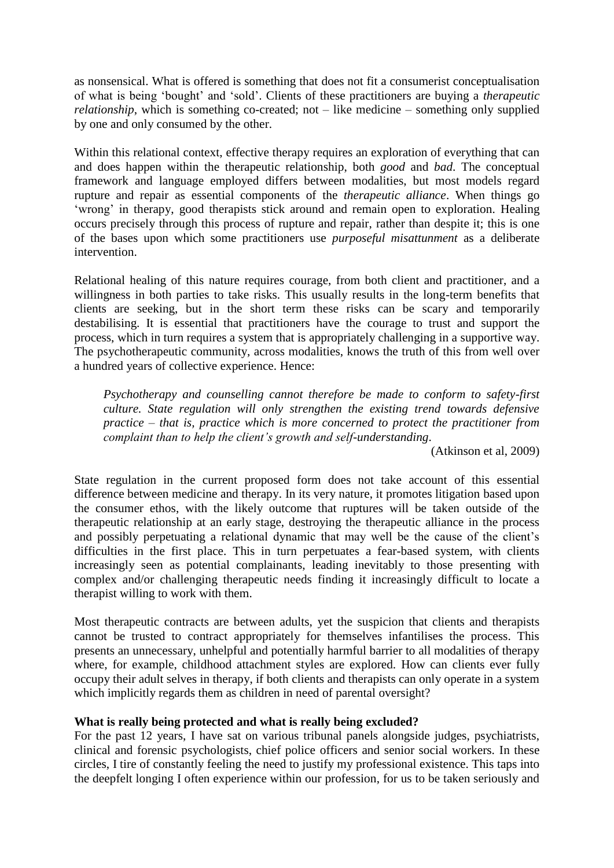as nonsensical. What is offered is something that does not fit a consumerist conceptualisation of what is being 'bought' and 'sold'. Clients of these practitioners are buying a *therapeutic relationship*, which is something co-created; not – like medicine – something only supplied by one and only consumed by the other.

Within this relational context, effective therapy requires an exploration of everything that can and does happen within the therapeutic relationship, both *good* and *bad*. The conceptual framework and language employed differs between modalities, but most models regard rupture and repair as essential components of the *therapeutic alliance*. When things go 'wrong' in therapy, good therapists stick around and remain open to exploration. Healing occurs precisely through this process of rupture and repair, rather than despite it; this is one of the bases upon which some practitioners use *purposeful misattunment* as a deliberate intervention.

Relational healing of this nature requires courage, from both client and practitioner, and a willingness in both parties to take risks. This usually results in the long-term benefits that clients are seeking, but in the short term these risks can be scary and temporarily destabilising. It is essential that practitioners have the courage to trust and support the process, which in turn requires a system that is appropriately challenging in a supportive way. The psychotherapeutic community, across modalities, knows the truth of this from well over a hundred years of collective experience. Hence:

*Psychotherapy and counselling cannot therefore be made to conform to safety-first culture. State regulation will only strengthen the existing trend towards defensive practice – that is, practice which is more concerned to protect the practitioner from complaint than to help the client's growth and self-understanding*.

(Atkinson et al, 2009)

State regulation in the current proposed form does not take account of this essential difference between medicine and therapy. In its very nature, it promotes litigation based upon the consumer ethos, with the likely outcome that ruptures will be taken outside of the therapeutic relationship at an early stage, destroying the therapeutic alliance in the process and possibly perpetuating a relational dynamic that may well be the cause of the client's difficulties in the first place. This in turn perpetuates a fear-based system, with clients increasingly seen as potential complainants, leading inevitably to those presenting with complex and/or challenging therapeutic needs finding it increasingly difficult to locate a therapist willing to work with them.

Most therapeutic contracts are between adults, yet the suspicion that clients and therapists cannot be trusted to contract appropriately for themselves infantilises the process. This presents an unnecessary, unhelpful and potentially harmful barrier to all modalities of therapy where, for example, childhood attachment styles are explored. How can clients ever fully occupy their adult selves in therapy, if both clients and therapists can only operate in a system which implicitly regards them as children in need of parental oversight?

## **What is really being protected and what is really being excluded?**

For the past 12 years, I have sat on various tribunal panels alongside judges, psychiatrists, clinical and forensic psychologists, chief police officers and senior social workers. In these circles, I tire of constantly feeling the need to justify my professional existence. This taps into the deepfelt longing I often experience within our profession, for us to be taken seriously and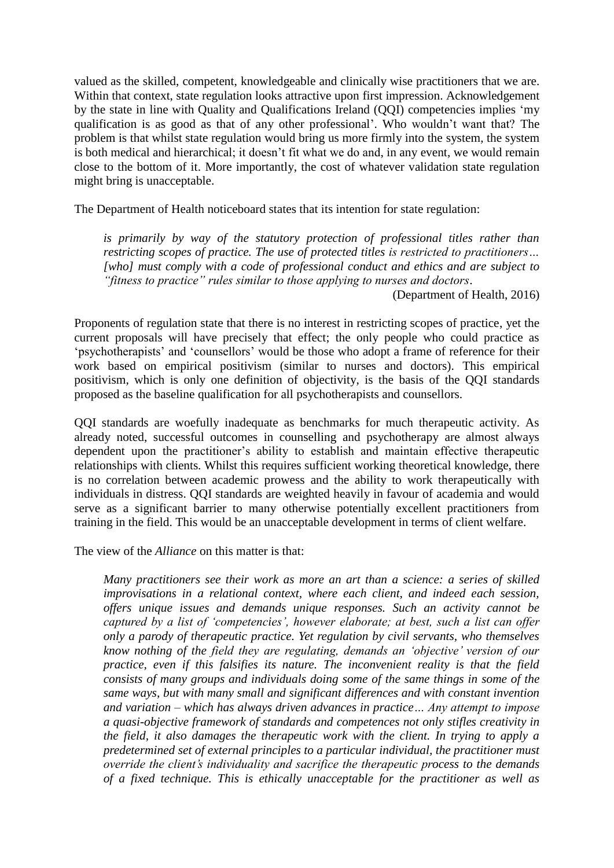valued as the skilled, competent, knowledgeable and clinically wise practitioners that we are. Within that context, state regulation looks attractive upon first impression. Acknowledgement by the state in line with Quality and Qualifications Ireland (QQI) competencies implies 'my qualification is as good as that of any other professional'. Who wouldn't want that? The problem is that whilst state regulation would bring us more firmly into the system, the system is both medical and hierarchical; it doesn't fit what we do and, in any event, we would remain close to the bottom of it. More importantly, the cost of whatever validation state regulation might bring is unacceptable.

The Department of Health noticeboard states that its intention for state regulation:

*is primarily by way of the statutory protection of professional titles rather than restricting scopes of practice. The use of protected titles is restricted to practitioners… [who] must comply with a code of professional conduct and ethics and are subject to "fitness to practice" rules similar to those applying to nurses and doctors*.

(Department of Health, 2016)

Proponents of regulation state that there is no interest in restricting scopes of practice, yet the current proposals will have precisely that effect; the only people who could practice as 'psychotherapists' and 'counsellors' would be those who adopt a frame of reference for their work based on empirical positivism (similar to nurses and doctors). This empirical positivism, which is only one definition of objectivity, is the basis of the QQI standards proposed as the baseline qualification for all psychotherapists and counsellors.

QQI standards are woefully inadequate as benchmarks for much therapeutic activity. As already noted, successful outcomes in counselling and psychotherapy are almost always dependent upon the practitioner's ability to establish and maintain effective therapeutic relationships with clients. Whilst this requires sufficient working theoretical knowledge, there is no correlation between academic prowess and the ability to work therapeutically with individuals in distress. QQI standards are weighted heavily in favour of academia and would serve as a significant barrier to many otherwise potentially excellent practitioners from training in the field. This would be an unacceptable development in terms of client welfare.

The view of the *Alliance* on this matter is that:

*Many practitioners see their work as more an art than a science: a series of skilled improvisations in a relational context, where each client, and indeed each session, offers unique issues and demands unique responses. Such an activity cannot be captured by a list of 'competencies', however elaborate; at best, such a list can offer only a parody of therapeutic practice. Yet regulation by civil servants, who themselves know nothing of the field they are regulating, demands an 'objective' version of our practice, even if this falsifies its nature. The inconvenient reality is that the field consists of many groups and individuals doing some of the same things in some of the same ways, but with many small and significant differences and with constant invention and variation – which has always driven advances in practice… Any attempt to impose a quasi-objective framework of standards and competences not only stifles creativity in the field, it also damages the therapeutic work with the client. In trying to apply a predetermined set of external principles to a particular individual, the practitioner must override the client's individuality and sacrifice the therapeutic process to the demands of a fixed technique. This is ethically unacceptable for the practitioner as well as*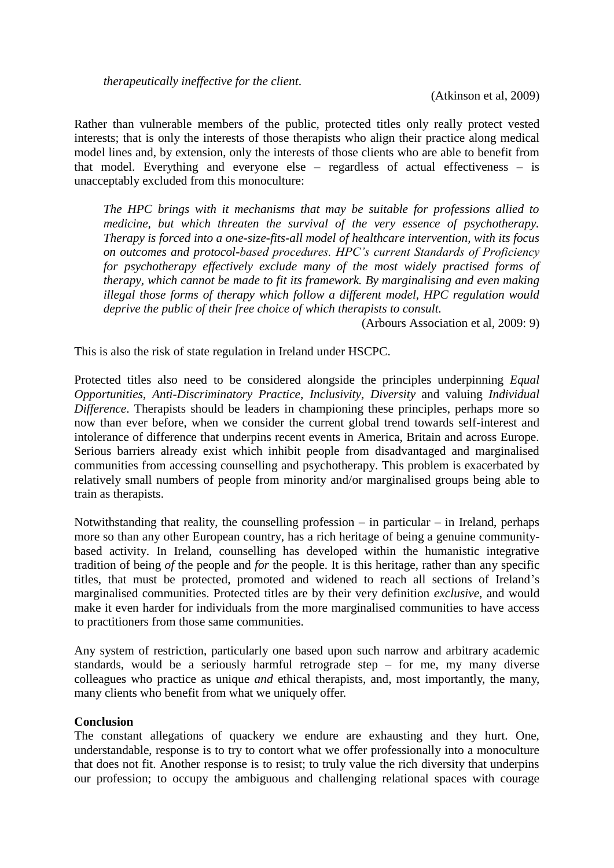Rather than vulnerable members of the public, protected titles only really protect vested interests; that is only the interests of those therapists who align their practice along medical model lines and, by extension, only the interests of those clients who are able to benefit from that model. Everything and everyone else – regardless of actual effectiveness – is unacceptably excluded from this monoculture:

*The HPC brings with it mechanisms that may be suitable for professions allied to medicine, but which threaten the survival of the very essence of psychotherapy. Therapy is forced into a one-size-fits-all model of healthcare intervention, with its focus on outcomes and protocol-based procedures. HPC's current Standards of Proficiency for psychotherapy effectively exclude many of the most widely practised forms of therapy, which cannot be made to fit its framework. By marginalising and even making illegal those forms of therapy which follow a different model, HPC regulation would deprive the public of their free choice of which therapists to consult.*

(Arbours Association et al, 2009: 9)

This is also the risk of state regulation in Ireland under HSCPC.

Protected titles also need to be considered alongside the principles underpinning *Equal Opportunities*, *Anti-Discriminatory Practice*, *Inclusivity*, *Diversity* and valuing *Individual Difference*. Therapists should be leaders in championing these principles, perhaps more so now than ever before, when we consider the current global trend towards self-interest and intolerance of difference that underpins recent events in America, Britain and across Europe. Serious barriers already exist which inhibit people from disadvantaged and marginalised communities from accessing counselling and psychotherapy. This problem is exacerbated by relatively small numbers of people from minority and/or marginalised groups being able to train as therapists.

Notwithstanding that reality, the counselling profession – in particular – in Ireland, perhaps more so than any other European country, has a rich heritage of being a genuine communitybased activity. In Ireland, counselling has developed within the humanistic integrative tradition of being *of* the people and *for* the people. It is this heritage, rather than any specific titles, that must be protected, promoted and widened to reach all sections of Ireland's marginalised communities. Protected titles are by their very definition *exclusive*, and would make it even harder for individuals from the more marginalised communities to have access to practitioners from those same communities.

Any system of restriction, particularly one based upon such narrow and arbitrary academic standards, would be a seriously harmful retrograde step – for me, my many diverse colleagues who practice as unique *and* ethical therapists, and, most importantly, the many, many clients who benefit from what we uniquely offer.

#### **Conclusion**

The constant allegations of quackery we endure are exhausting and they hurt. One, understandable, response is to try to contort what we offer professionally into a monoculture that does not fit. Another response is to resist; to truly value the rich diversity that underpins our profession; to occupy the ambiguous and challenging relational spaces with courage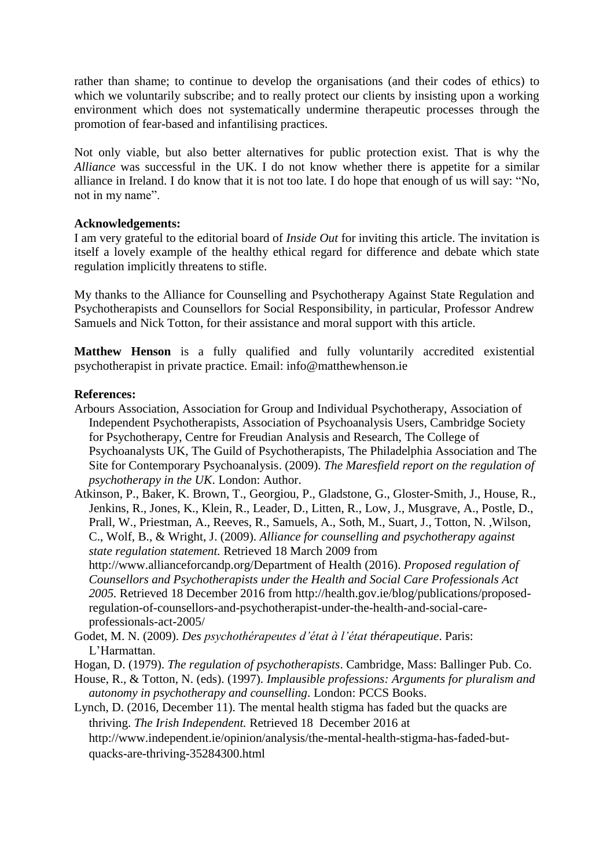rather than shame; to continue to develop the organisations (and their codes of ethics) to which we voluntarily subscribe; and to really protect our clients by insisting upon a working environment which does not systematically undermine therapeutic processes through the promotion of fear-based and infantilising practices.

Not only viable, but also better alternatives for public protection exist. That is why the *Alliance* was successful in the UK. I do not know whether there is appetite for a similar alliance in Ireland. I do know that it is not too late. I do hope that enough of us will say: "No, not in my name".

## **Acknowledgements:**

I am very grateful to the editorial board of *Inside Out* for inviting this article. The invitation is itself a lovely example of the healthy ethical regard for difference and debate which state regulation implicitly threatens to stifle.

My thanks to the Alliance for Counselling and Psychotherapy Against State Regulation and Psychotherapists and Counsellors for Social Responsibility, in particular, Professor Andrew Samuels and Nick Totton, for their assistance and moral support with this article.

**Matthew Henson** is a fully qualified and fully voluntarily accredited existential psychotherapist in private practice. Email: info@matthewhenson.ie

### **References:**

Arbours Association, Association for Group and Individual Psychotherapy, Association of Independent Psychotherapists, Association of Psychoanalysis Users, Cambridge Society for Psychotherapy, Centre for Freudian Analysis and Research, The College of Psychoanalysts UK, The Guild of Psychotherapists, The Philadelphia Association and The Site for Contemporary Psychoanalysis. (2009). *The Maresfield report on the regulation of psychotherapy in the UK*. London: Author.

Atkinson, P., Baker, K. Brown, T., Georgiou, P., Gladstone, G., Gloster-Smith, J., House, R., Jenkins, R., Jones, K., Klein, R., Leader, D., Litten, R., Low, J., Musgrave, A., Postle, D., Prall, W., Priestman, A., Reeves, R., Samuels, A., Soth, M., Suart, J., Totton, N. ,Wilson, C., Wolf, B., & Wright, J. (2009). *Alliance for counselling and psychotherapy against state regulation statement.* Retrieved 18 March 2009 from [http://www.allianceforcandp.org/D](http://www.allianceforcandp.org/)epartment of Health (2016). *Proposed regulation of Counsellors and Psychotherapists under the Health and Social Care Professionals Act 2005.* Retrieved 18 December 2016 from http://health.gov.ie/blog/publications/proposedregulation-of-counsellors-and-psychotherapist-under-the-health-and-social-careprofessionals-act-2005/

- Godet, M. N. (2009). *Des psychothérapeutes d'état à l'état thérapeutique*. Paris: L'Harmattan.
- Hogan, D. (1979). *The regulation of psychotherapists*. Cambridge, Mass: Ballinger Pub. Co.
- House, R., & Totton, N. (eds). (1997). *Implausible professions: Arguments for pluralism and autonomy in psychotherapy and counselling*. London: PCCS Books.

Lynch, D. (2016, December 11). The mental health stigma has faded but the quacks are thriving. *The Irish Independent.* Retrieved 18 December 2016 at http://www.independent.ie/opinion/analysis/the-mental-health-stigma-has-faded-butquacks-are-thriving-35284300.html